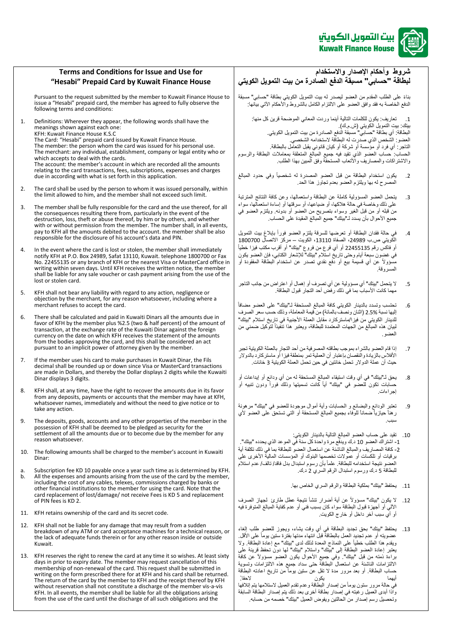

## **شروط وأحكام اإلصدار واالستخدام لبطاقة "حسابي" مسبقة الدفع الصادرة من بيت التمويل الكويتي**

بناءً على الطلب المقدم من العضو ليصدر له بيت التمويل الكويتي بطاقة "حسابي" مسبقةً الدفع الخاصةً به فقد وافق العضو على الالتزام الكامل بالشروط والأحكام الآتي بيانها:

1. تعاريف: يكون للكلمات التالية أينما وردت المعاني الموضحةً قرين كل منها: بيتك: بيت التمويل الكويتي (ش م.ك). البطاقة: أي بطاقةً "حسابي" مسبقةً الدفع الصـادرة من بيت التمويل الكويتي. العضو : الشخص الذي صدرت له البطاقة لاستخدامه الشخصي. التاجر : أي فرد أو مؤسسةً أو شركةً أو كيان قانوني يقبل التعامل بالبطاقة. الحساب: حساب العضو الذي تقيد فيه جميع المبالغ المتعلقة بمعاملات البطاقة والرسوم والاشتراكات والمصاريف والأتعاب المستحقةً وفق المبين بهذا الطلب.

- .2 يكون استخدام البطاقة من قبل العضو المصدرة له شخصيا وفي حدود المبالغ المصرح له بها ويلتزم العضو بعدم تجاوز هذا الحد
- 3. يتحمل العضو المسؤولية كاملةً عن البطاقةً واستعمالها، وعن كافة النتائج المترتبة على ذلك وخاصةً في حالةً هلاكها، أو ضياعهاً، أو سرقتها أو إساءة استعمالها، سواءً منَ قبله أو من قبل الغير وسواء بتصريح من العضو أو بدونه. ويلتزم العضو في جميع الأحوال بأن يسدد لـ"بيتك" جميع المبالغ المقيدة على الحساب.
- 4. في حالة فقدان البطاقة أو تعرضها للسرقة يلتزم العضو فوراً بإبلاغ بيت التمويل الكويتي ص.ب 24989، الصفاة 13110، الكويت – مركز الاتصال 1800700 أو فاكسّ رقم 22455135 أو أي فرع من فروع "بيتك" أو أقرب مكتب فيزا خطياً في غضون سبعةً أيام وحتى تاريخ استلام "بيتك" للإشعار الكتابي، فإن العضو يكون مسؤوال عن أي قسيمة بيع أو دفع نقدي تصدر عن استخدام البطاقة المفقودة أو المسر وقة
- 5 . لا يتحمل "بيتك" أي مسؤوليةً عن أي تصرف أو إهمال أو اعتراضٍ من جانب التاجر مهما كانت الأسباب بما في ذلك رفض أحد التجار قبول البطاقة.
- 6. تحتسب وتسدد بالدينار الكويتي كافة المبالغ المستحقة لـ"بيتك" على العضو مضافاً إليها نسبةً 2.5% (اثنان ونصفّ بالمائة) من قيمة المعاملة، وذلك حسب سعر الصرف للدينار الكويتي من فيزا/ماستركارد مقابل العملة الأجنبية في تاريخ استلام "بيتك" لبيان هذه المبالغ من الجهات المعتمدة للبطاقة، ويعتبر هذا تنفيذاً لتوكيل ضمني من العضوً.
- 7 ٪ إذا قام العضو بالشراء بموجب بطاقته المصرفيةً من أحد التجار بالعملة الكويتية تجبرً الأفلاس بالزيادة والنقصان بإعتبار أن العملية تمر بمنطقةً فيزاً أو ماستركارد بالدولار حيث أن عملةً الدولار. تحملً خانتين في حين تحمل العملة الكويتية 3 خانات.
- 8. يحقٍ لــ"بيتك" في أي وقت استيقاء المبالغ المستحقةً له من أي ودائع أو إيداعات أو حساباتً تكونً للعضوً فيًً"بيتك"ًًأيا كانت تسميتها وذلك فورا ودون تنبيه أو إجراءاتً.
- 9. تعتبر الودائع والبضائع و الحسابات وأيةً أموال موجودة للعضو في "بيتك" مرهونةً ر هنأ حيازياً ضماناً للوفاء بجميع المبالغ المستحقة أو التي تستحق على العضو لأي سببً.
- 10. تقيدً على حساب العضو المبالغ التالية بالدينار الكويتي: 1- اشتر اك العضو 10 د.كً ويدفع مرة واحدةً كل سنةً في الموعد الذي يحدده "بيتك". 2- كافة المصاريف والمبالغ الناشئةً عن استعمال العضوّ للبطاقة بما في ذلك تكلفة أية برقيات أو تلكسات أو عمولات تخصمها البنوك أو المؤسسات المالية الأخرى علىً العضو نتيجة استخدامه للبطاقة. علماً بأن رسوم استبدال بدل فاقد/ تالف/ عدم استلام للبطاقة 5 د.ك ورسوم استبدال الرقم السري 2 د.ك.
	- 11. يحتفظ "بيتك" بملكية البطاقة والرقم السري الخاص بها.
- 12. لا يكون "بيتك" مسؤوالًا عن أية أضرار تنشأ نتيجةً عطلً طارئ ًلجهاز الصرف الآلي أو أجهزةً قبول البطاقة سواءً كان بسبب فني أو عدم كفاية المبالغ المتوفرة فيه أو أي سبب آخر داخل أو خارج الكويت.
- 13. يحتفظ "بيتك" بحق تجديد البطاقة في أي وقت يشاء، ويجوز للعضو طلب إلغاء عضويته أو عدم تجديد العمل بالبطاقةً قبلً انتهاء مدتها بفترة ستين يوماً على الأقل. ويقدم هذا الطلب خطياً على النماذج المعدة لذلك لدى "بيتك" مع إعادة البطاقة ً ولا يَّتْبَلِ إعادة العضو البطاقة إلى "بيتك" واستلام "بيتك"ً لها دونٌ تحفظ قُرينةً علَّى براءةً ذمته من قبل "بيتك". وفي جميع الأحوال يكون العضو مسؤولاً عن كافة الالتزامات الناشئةً عن استعمال البطاقة حتى سداد جميع هذه الالتزامات وتسويةً حساب البطاقة. أو بعد مرور مدة لا تقل عن ستين يوماً من تاريخ اعادته البطاقة<br>أسها .<br>أيهماً يكون في حالة مرور ستون يوماً من إصدار البطاقة وعدم تقدم العميل لاستلامها يتم إتلافها واذاً أبدى العميل رغبته في إصدار بطاقةً أخرى بعد ذلك يتم إصدار البطاقة السابقة

وتحصيلً رسم إصدار من الحالتين ويفوض العميل "بيتك" خصمه من حسابه.

**Terms and Conditions for Issue and Use for "Hesabi" Prepaid Card by Kuwait Finance House**

Pursuant to the request submitted by the member to Kuwait Finance House to issue a "Hesabi" prepaid card, the member has agreed to fully observe the following terms and conditions:

1. Definitions: Wherever they appear, the following words shall have the meanings shown against each one: KFH: Kuwait Finance House K.S.C The Card: "Hesabi" prepaid card issued by Kuwait Finance House. The member: the person whom the card was issued for his personal use. The merchant: any individual, establishment, company or legal entity who or which accepts to deal with the cards. The account: the member's account in which are recorded all the amounts relating to the card transactions, fees, subscriptions, expenses and charges due in according with what is set forth in this application.

- 2. The card shall be used by the person to whom it was issued personally, within the limit allowed to him, and the member shall not exceed such limit.
- 3. The member shall be fully responsible for the card and the use thereof, for all the consequences resulting there from, particularly in the event of the destruction, loss, theft or abuse thereof, by him or by others, and whether with or without permission from the member. The number shall, in all events, pay to KFH all the amounts debited to the account. the member shall be also responsible for the disclosure of his account's data and PIN.
- 4. In the event where the card is lost or stolen, the member shall immediately notify KFH at P.O. Box 24989, Safat 13110, Kuwait. telephone 1800700 or Fax No. 22455135 or any branch of KFH or the nearest Visa or MasterCard office in writing within seven days. Until KFH receives the written notice, the member shall be liable for any sale voucher or cash payment arising from the use of the lost or stolen card.
- 5. KFH shall not bear any liability with regard to any action, negligence or objection by the merchant, for any reason whatsoever, including where a merchant refuses to accept the card.
- 6. There shall be calculated and paid in Kuwaiti Dinars all the amounts due in favor of KFH by the member plus %2.5 (two & half percent) of the amount of transaction, at the exchange rate of the Kuwaiti Dinar against the foreign currency on the date on which KFH receives the statement of the amounts from the bodies approving the card, and this shall be considered an act pursuant to an implicit power of attorney given by the member.
- 7. If the member uses his card to make purchases in Kuwait Dinar, the Fils decimal shall be rounded up or down since Visa or MasterCard transactions are made in Dollars, and thereby the Dollar displays 2 digits while the Kuwaiti Dinar displays 3 digits.
- 8. KFH shall, at any time, have the right to recover the amounts due in its favor from any deposits, payments or accounts that the member may have at KFH, whatsoever names, immediately and without the need to give notice or to take any action.
- 9. The deposits, goods, accounts and any other properties of the member in the possession of KFH shall be deemed to be pledged as security for the settlement of all the amounts due or to become due by the member for any reason whatsoever.
- 10. The following amounts shall be charged to the member's account in Kuwaiti Dinar:
- a. Subscription fee KD 10 payable once a year such time as is determined by KFH.<br>b. All the expenses and amounts arising from the use of the card by the member. All the expenses and amounts arising from the use of the card by the member, including the cost of any cables, telexes, commissions charged by banks or other financial institutions to the member for using the card. Note that the card replacement of lost/damage/ not receive Fees is KD 5 and replacement of PIN fees is KD 2.
- 11. KFH retains ownership of the card and its secret code.
- 12. KFH shall not be liable for any damage that may result from a sudden breakdown of any ATM or card acceptance machines for a technical reason, or the lack of adequate funds therein or for any other reason inside or outside Kuwait.
- 13. KFH reserves the right to renew the card at any time it so wishes. At least sixty days in prior to expiry date. The member may request cancellation of this membership of non-renewal of the card. This request shall be submitted in writing on the form prescribed there for at KFH and his card shall be returned. The return of the card by the member to KFH and the receipt thereof by KFH without reservation shall not constitute a discharge of the member vis-a-vis KFH. In all events, the member shall be liable for all the obligations arising from the use of the card until the discharge of all such obligations and the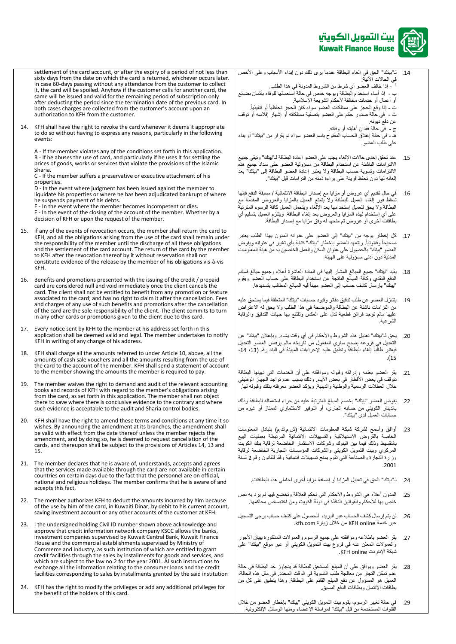

- settlement of the card account, or after the expiry of a period of not less than sixty days from the date on which the card is returned, whichever occurs later. In case 60-days passing without any attendance from the customer to collect it, the card will be spoiled. Anyhow if the customer calls for another card, the same will be issued and valid for the remaining period of subscription only after deducting the period since the termination date of the previous card. In both cases charges are collected from the customer's account upon an authorization to KFH from the customer. 14. KFH shall have the right to revoke the card whenever it deems it appropriate to do so without having to express any reasons, particularly in the following events: A - If the member violates any of the conditions set forth in this application. B - If he abuses the use of card, and particularly if he uses it for settling the prices of goods, works or services that violate the provisions of the Islamic Sharia. C - If the member suffers a preservative or executive attachment of his properties. D - In the event where judgment has been issued against the member to liquidate his properties or where he has been adjudicated bankrupt of where he suspends payment of his debts. E - In the event where the member becomes incompetent or dies. F - In the event of the closing of the account of the member. Whether by a decision of KFH or upon the request of the member. 15. If any of the events of revocation occurs, the member shall return the card to KFH, and all the obligations arising from the use of the card shall remain under the responsibility of the member until the discharge of all these obligations and the settlement of the card account. The return of the card by the member to KFH after the revocation thereof by it without reservation shall not constitute evidence of the release by the member of his obligations vis-à-vis KFH. 16. Benefits and promotions presented with the issuing of the credit / prepaid card are considered null and void immediately once the client cancels the card. The client shall not be entitled to benefit from any promotion or feature associated to the card; and has no right to claim it after the cancellation. Fees and charges of any use of such benefits and promotions after the cancellation of the card are the sole responsibility of the client. The client commits to turn in any other cards or promotions given to the client due to this card. 17. Every notice sent by KFH to the member at his address set forth in this application shall be deemed valid and legal. The member undertakes to notify KFH in writing of any change of his address. 18. KFH shall charge all the amounts referred to under Article 10, above, all the amounts of cash sale vouchers and all the amounts resulting from the use of the card to the account of the member. KFH shall send a statement of account to the member showing the amounts the member is required to pay. 19. The member waives the right to demand and audit of the relevant accounting books and records of KFH with regard to the member's obligations arising from the card, as set forth in this application. The member shall not object there to save where there is conclusive evidence to the contrary and where such evidence is acceptable to the audit and Sharia control bodies. 20. KFH shall have the right to amend these terms and conditions at any time it so wishes. By announcing the amendment at its branches, the amendment shall be valid with effect from the date thereof unless the member rejects the amendment, and by doing so, he is deemed to request cancellation of the cards, and thereupon shall be subject to the provisions of Articles 14, 13 and 15. 21. The member declares that he is aware of, understands, accepts and agrees that the services made available through the card are not available in certain countries on certain days due to the fact that the personnel are on official, national and religious holidays. The member confirms that he is aware of and accepts this fact. 22. The member authorizes KFH to deduct the amounts incurred by him because of the use by him of the card, in Kuwaiti Dinar, by debit to his current account, saving investment account or any other accounts of the customer at KFH. 23. I the undersigned holding Civil ID number shown above acknowledge and approve that credit information network company KSCC allows the banks, investment companies supervised by Kuwait Central Bank, Kuwait Finance House and the commercial establishments supervised by Ministry of Commerce and Industry, as such institution of which are entitled to grant credit facilities through the sales by installments for goods and services, and which are subject to the law no.2 for the year 2001. Al such instructions to exchange all the information relating to the consumer loans and the credit facilities corresponding to sales by installments granted by the said institution 14. لـ"بيتك" الحقّ في إلغاء البطاقةً عندماً يرى ذلك دونٍ إبداء الأسباب وعلى الأخص في الحالات الأتية: أ ً - إذا خالف العضو أي شرطً من الشروط المدونة في هذا الطلب ب - إذا أساء استخدام البطاقة وبوجه خاص في حالةً استعمالها للوفاء بأثمانٍ بضائع .<br>أو أعمال أو خدمات مخالفةً لأحكام الشريعةَ الإسلامية. ت - إذا وقع الحجز على ممتلكات العضو سواء كان الحجز تحفظياً أو تنفيذياً. ث - ُ في حالةً صدورٍ حكم على العضو بتصفيةً ممتلكاته أوّ إشهارً إفلاسهً أوّ توقف عن دفع ديونه. ج - فَمِّي حالةً فقدانٍ أهليته أو وفاتهً. ـ<br>هـ - في حالةً إغلاق الحساب المفتوح باسم العضو سواءً تم بقرار من "بيتك" أو بناءً على طُلب العضو . 15. عند تحقق إحدى حالات الإلغاء يجب على العضو إعادة البطاقةً لـ"بيتك" وتبقي جميع الالتزامات الناشئةً عن استخدام البطاقةً من مسؤولية العضو حتى سداد جميع هذه الالتزامات وتسويةً حساب البطاقةً ولا يعتبر إعادة العضو البطاقة إلى "بيتك" بعد إلغائهً لها دون تحفظ قرينةً على بر اءةً ذمته من التز امات قبل "بيتك". 16. في حال تقديم أي عروض أو مزاياً مع إصدار البطاقة الائتمانية / مسبقة الدفع فإنها تسقطً فور إلغاء العميل للبطاقةً ولا يتمتع العميل بالمزايا والعروض المقدمةً مع البطاقةً ولا يحق للعميل إستخدامها بعد الإلغاء ويتحمل العميل كافة الرسوم المترتبة على أي إستخدام لهذه المزايا والعروض بعد إلغاء البطاقة. ويلتزم العميل بتسليم أي بطاقاتً أخرى أو عروضٌ تم منحهاً له وفقٍ مزاياً مع إصدار البطاقة. 17. كل إخطار يوجه من "بيتك" إلى العضو على عنوانه المدون بهذا الطلب يعتبر صحيحاً وقانونياً. ويتعهد العضو بإخطار "بيتك" كتابةً بأي تغيير في عنوانه ويفوض العضو "بيتك" بالحصول على عنوان السكن والعمل الخاصين به من هيئة المعلومات المدنية دون أدنى مسؤولية على الهيئة. 18 . يقيد "بيتك" جميع المبالغ المشار إليها في المادة العاشرة أعلاه وجميع مبالغً قسائمً الدفع النقدي وكافةً المبالغ الناتجةً عن استخدام البطاقةً على حساب العضو ويقوم "بيتك" بإرسال كشف حساب إلى العضو مبيناً فيه المبالغ المطالب بتسديدها. 19. يتنازل العضو عن طلب تدقيق دفاتر وقيود حسابات "بيتك" المتعلقة فيما يستحق عليه من التزامات ناشئةً عن البطاقةً والموضحةً في هذا الطلب ولا يحق له الاعتراض عليها مالم توجدً قرائن قطعيةً تدل على العكس وتقتنع بها جهات التدقيق والرقابة الشرعيةً.ً 20 . يحقً لـ"بيتك" تعديلً هذه الشروط والأحكام في أي وقت يشاءً. وبإعلان "بيتك" عن التعديل في فروعه يصبح ساري المفعول من تاريخه مالم يرفض العضو التعديل فيعتبر طالّباً إلغاء البطاقةً وتطبقٌ عليه الإجراءات المبينة في البند رقم (13، 14، ً.)15 21 . يقرّ العضو بعلمه وإدراكه وقبوله وموافقته على أن الخدمات التي تهيئها البطاقة تتوقف في بعض الأَقطار في بعض الأيام. وذلك بسبب عدم تواجد الجهازُ الوظيفي خلال العطّلات الرسميةً والوطنية والدينية. ويؤكد العضو معرفته بذلكً وقبولهً لها. 22 . يفوض العضو "بيتك" بخصم المبالغ المترتبة عليه من جراء استعماله للبطاقةً وذلك بالدينار الكويتي من حسابه الجاري، أو التوفير الاستثماري الممتاز أو غيره من حسابات العميل لدى "بيتك". 23 أوافقٍ وأسمح لشركةً شبكةً المعلومات الانتمانيةً (ش.م.ك.م) بتبادل المعلومات الخاصةً بالقروضً االستهالكيةً والتسهيالتً االئتمانيةً المرتبطةً بعملياتً البيعً بالتقسيط وذلك فيما بين البنوك وشركات الاستثمار الخاضعةً لرقابةً بنكً الكويت<br>. المركزي وبيت التمويل الكويتي والشركات المؤسسات التجارية الخاضعة لرقابة وزَارةً التجارةً والصنّاعة التيّ تقومً بمنحّ تسهيلاتٌ ائتمانيةً وفقاً للقانون رقم 2 لسنةً ً.2001 24 لـ "بيتك" الحق في تعديل المزايا أو إضافةً مزاياً أخرى لحاملي هذه البطاقات. 25 ـ المدون أعلاه هي الشروط والأحكام التي تحكم العلاقةً وتخضع فيها لم يرد به نص خاص بها للأحكام والقوانين النافذة في دولة الكويت ومن اختصاص محاكمها. 26. لن يتم إرسال كشف الحساب عبر البريد، للحصول على كشف حساب يرجى التسجيل عبر خدمة KFH online من خلال زيارة kfh.com. 27 . يقر العضو باطلاعه وموافقته على جميع الرسوم والعمولات المذكورة ببيان الأجور والعمولات المعلن عنه في فروع بيت التمويل الكويتي أو عبر موقع "بيتك" على شبكة الإنترنت KFH online. 28. يقر العضو ويوافق على أن المبلغ المستحق للبطاقةً قد يتجاوز حد البطاقةً في حالةً عدم تمكن التجار من معالجةً طلب التسوية في الوقت المحدد. في مثل هذه الحالة، المعميلً هو المسؤول عن دفع المبلغ القائم على البطاقة. وهذا ينطبق على كل من
- 24. KFH has the right to modify the privileges or add any additional privileges for the benefit of the holders of this card.
- 29 في حالةً تغيير الرسوم، يقوم بيت التمويل الكويتي "بيتك" بإخطار العضو من خلال القُنوات المستخدمةً من قبل "بيتك" لمراسلةً الإعصاء ومنها الوسائل الإلكترونيةً.

بطاقات الانتمان وبطاقات الدفع المسبق.